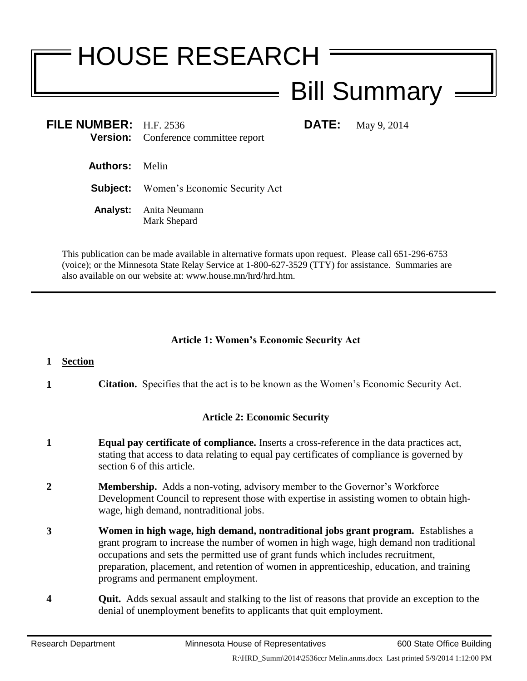# HOUSE RESEARCH

# Bill Summary

**FILE NUMBER:** H.F. 2536 **DATE:** May 9, 2014 **Version:** Conference committee report

- **Authors:** Melin
- **Subject:** Women's Economic Security Act
- **Analyst:** Anita Neumann Mark Shepard

This publication can be made available in alternative formats upon request. Please call 651-296-6753 (voice); or the Minnesota State Relay Service at 1-800-627-3529 (TTY) for assistance. Summaries are also available on our website at: www.house.mn/hrd/hrd.htm.

## **Article 1: Women's Economic Security Act**

### **1 Section**

**1 Citation.** Specifies that the act is to be known as the Women's Economic Security Act.

# **Article 2: Economic Security**

- **1 Equal pay certificate of compliance.** Inserts a cross-reference in the data practices act, stating that access to data relating to equal pay certificates of compliance is governed by section 6 of this article.
- **2 Membership.** Adds a non-voting, advisory member to the Governor's Workforce Development Council to represent those with expertise in assisting women to obtain highwage, high demand, nontraditional jobs.
- **3 Women in high wage, high demand, nontraditional jobs grant program.** Establishes a grant program to increase the number of women in high wage, high demand non traditional occupations and sets the permitted use of grant funds which includes recruitment, preparation, placement, and retention of women in apprenticeship, education, and training programs and permanent employment.
- **4 Quit.** Adds sexual assault and stalking to the list of reasons that provide an exception to the denial of unemployment benefits to applicants that quit employment.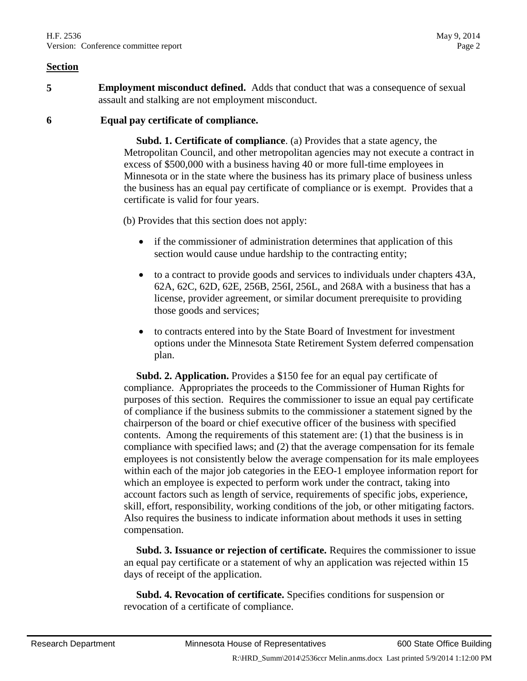**5 Employment misconduct defined.** Adds that conduct that was a consequence of sexual assault and stalking are not employment misconduct.

#### **6 Equal pay certificate of compliance.**

 **Subd. 1. Certificate of compliance**. (a) Provides that a state agency, the Metropolitan Council, and other metropolitan agencies may not execute a contract in excess of \$500,000 with a business having 40 or more full-time employees in Minnesota or in the state where the business has its primary place of business unless the business has an equal pay certificate of compliance or is exempt. Provides that a certificate is valid for four years.

(b) Provides that this section does not apply:

- if the commissioner of administration determines that application of this section would cause undue hardship to the contracting entity;
- to a contract to provide goods and services to individuals under chapters 43A, 62A, 62C, 62D, 62E, 256B, 256I, 256L, and 268A with a business that has a license, provider agreement, or similar document prerequisite to providing those goods and services;
- to contracts entered into by the State Board of Investment for investment options under the Minnesota State Retirement System deferred compensation plan.

 **Subd. 2. Application.** Provides a \$150 fee for an equal pay certificate of compliance. Appropriates the proceeds to the Commissioner of Human Rights for purposes of this section. Requires the commissioner to issue an equal pay certificate of compliance if the business submits to the commissioner a statement signed by the chairperson of the board or chief executive officer of the business with specified contents. Among the requirements of this statement are: (1) that the business is in compliance with specified laws; and (2) that the average compensation for its female employees is not consistently below the average compensation for its male employees within each of the major job categories in the EEO-1 employee information report for which an employee is expected to perform work under the contract, taking into account factors such as length of service, requirements of specific jobs, experience, skill, effort, responsibility, working conditions of the job, or other mitigating factors. Also requires the business to indicate information about methods it uses in setting compensation.

 **Subd. 3. Issuance or rejection of certificate.** Requires the commissioner to issue an equal pay certificate or a statement of why an application was rejected within 15 days of receipt of the application.

 **Subd. 4. Revocation of certificate.** Specifies conditions for suspension or revocation of a certificate of compliance.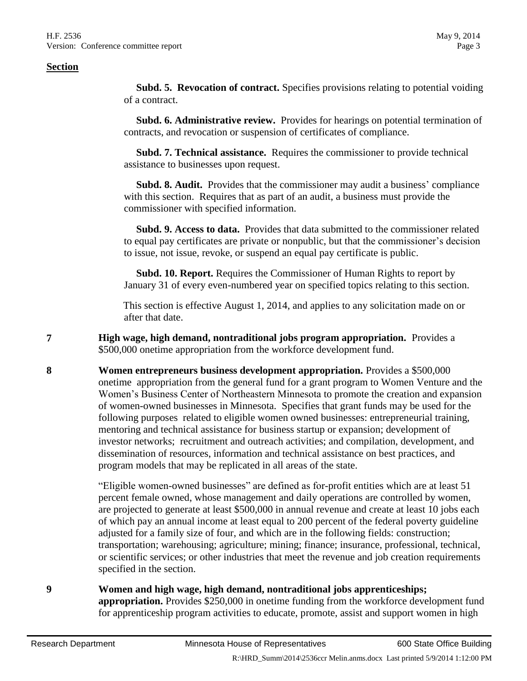**Subd. 5. Revocation of contract.** Specifies provisions relating to potential voiding of a contract.

 **Subd. 6. Administrative review.** Provides for hearings on potential termination of contracts, and revocation or suspension of certificates of compliance.

 **Subd. 7. Technical assistance.** Requires the commissioner to provide technical assistance to businesses upon request.

 **Subd. 8. Audit.** Provides that the commissioner may audit a business' compliance with this section. Requires that as part of an audit, a business must provide the commissioner with specified information.

 **Subd. 9. Access to data.** Provides that data submitted to the commissioner related to equal pay certificates are private or nonpublic, but that the commissioner's decision to issue, not issue, revoke, or suspend an equal pay certificate is public.

 **Subd. 10. Report.** Requires the Commissioner of Human Rights to report by January 31 of every even-numbered year on specified topics relating to this section.

This section is effective August 1, 2014, and applies to any solicitation made on or after that date.

**7 High wage, high demand, nontraditional jobs program appropriation.** Provides a \$500,000 onetime appropriation from the workforce development fund.

**8 Women entrepreneurs business development appropriation.** Provides a \$500,000 onetime appropriation from the general fund for a grant program to Women Venture and the Women's Business Center of Northeastern Minnesota to promote the creation and expansion of women-owned businesses in Minnesota. Specifies that grant funds may be used for the following purposes related to eligible women owned businesses: entrepreneurial training, mentoring and technical assistance for business startup or expansion; development of investor networks; recruitment and outreach activities; and compilation, development, and dissemination of resources, information and technical assistance on best practices, and program models that may be replicated in all areas of the state.

> "Eligible women-owned businesses" are defined as for-profit entities which are at least 51 percent female owned, whose management and daily operations are controlled by women, are projected to generate at least \$500,000 in annual revenue and create at least 10 jobs each of which pay an annual income at least equal to 200 percent of the federal poverty guideline adjusted for a family size of four, and which are in the following fields: construction; transportation; warehousing; agriculture; mining; finance; insurance, professional, technical, or scientific services; or other industries that meet the revenue and job creation requirements specified in the section.

**9 Women and high wage, high demand, nontraditional jobs apprenticeships; appropriation.** Provides \$250,000 in onetime funding from the workforce development fund for apprenticeship program activities to educate, promote, assist and support women in high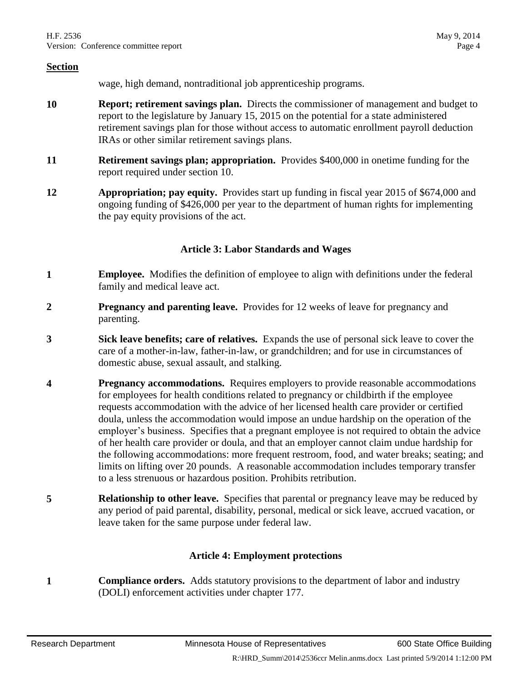wage, high demand, nontraditional job apprenticeship programs.

- **10 Report; retirement savings plan.** Directs the commissioner of management and budget to report to the legislature by January 15, 2015 on the potential for a state administered retirement savings plan for those without access to automatic enrollment payroll deduction IRAs or other similar retirement savings plans.
- **11 Retirement savings plan; appropriation.** Provides \$400,000 in onetime funding for the report required under section 10.
- **12 Appropriation; pay equity.** Provides start up funding in fiscal year 2015 of \$674,000 and ongoing funding of \$426,000 per year to the department of human rights for implementing the pay equity provisions of the act.

#### **Article 3: Labor Standards and Wages**

- **1 Employee.** Modifies the definition of employee to align with definitions under the federal family and medical leave act.
- **2 Pregnancy and parenting leave.** Provides for 12 weeks of leave for pregnancy and parenting.
- **3 Sick leave benefits; care of relatives.** Expands the use of personal sick leave to cover the care of a mother-in-law, father-in-law, or grandchildren; and for use in circumstances of domestic abuse, sexual assault, and stalking.
- **4 Pregnancy accommodations.** Requires employers to provide reasonable accommodations for employees for health conditions related to pregnancy or childbirth if the employee requests accommodation with the advice of her licensed health care provider or certified doula, unless the accommodation would impose an undue hardship on the operation of the employer's business. Specifies that a pregnant employee is not required to obtain the advice of her health care provider or doula, and that an employer cannot claim undue hardship for the following accommodations: more frequent restroom, food, and water breaks; seating; and limits on lifting over 20 pounds. A reasonable accommodation includes temporary transfer to a less strenuous or hazardous position. Prohibits retribution.
- **5 Relationship to other leave.** Specifies that parental or pregnancy leave may be reduced by any period of paid parental, disability, personal, medical or sick leave, accrued vacation, or leave taken for the same purpose under federal law.

#### **Article 4: Employment protections**

**1 Compliance orders.** Adds statutory provisions to the department of labor and industry (DOLI) enforcement activities under chapter 177.